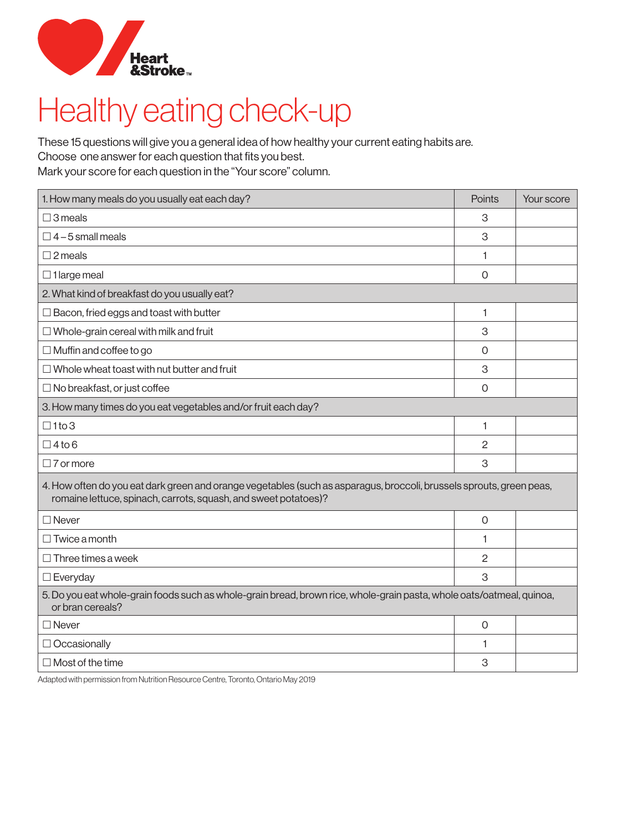

## Heart **Albert**<br>Healthy eating check-up

These 15 questions will give you a general idea of how healthy your current eating habits are.

Choose one answer for each question that fits you best.

Mark your score for each question in the "Your score" column.

| 1. How many meals do you usually eat each day?                                                                                                                                          | Points         | Your score |  |  |
|-----------------------------------------------------------------------------------------------------------------------------------------------------------------------------------------|----------------|------------|--|--|
| $\square$ 3 meals                                                                                                                                                                       | 3              |            |  |  |
| $\Box$ 4 – 5 small meals                                                                                                                                                                | 3              |            |  |  |
| $\square$ 2 meals                                                                                                                                                                       | 1              |            |  |  |
| $\Box$ 1 large meal                                                                                                                                                                     | $\Omega$       |            |  |  |
| 2. What kind of breakfast do you usually eat?                                                                                                                                           |                |            |  |  |
| $\Box$ Bacon, fried eggs and toast with butter                                                                                                                                          | 1              |            |  |  |
| $\Box$ Whole-grain cereal with milk and fruit                                                                                                                                           | 3              |            |  |  |
| $\Box$ Muffin and coffee to go                                                                                                                                                          | $\Omega$       |            |  |  |
| $\Box$ Whole wheat toast with nut butter and fruit                                                                                                                                      | 3              |            |  |  |
| $\Box$ No breakfast, or just coffee                                                                                                                                                     | $\Omega$       |            |  |  |
| 3. How many times do you eat vegetables and/or fruit each day?                                                                                                                          |                |            |  |  |
| $\Box$ 1to 3                                                                                                                                                                            | 1              |            |  |  |
| $\Box$ 4 to 6                                                                                                                                                                           | $\mathbf{2}$   |            |  |  |
| $\Box$ 7 or more                                                                                                                                                                        | 3              |            |  |  |
| 4. How often do you eat dark green and orange vegetables (such as asparagus, broccoli, brussels sprouts, green peas,<br>romaine lettuce, spinach, carrots, squash, and sweet potatoes)? |                |            |  |  |
| $\Box$ Never                                                                                                                                                                            | $\mathbf 0$    |            |  |  |
| $\Box$ Twice a month                                                                                                                                                                    | 1              |            |  |  |
| $\Box$ Three times a week                                                                                                                                                               | 2              |            |  |  |
| $\square$ Everyday                                                                                                                                                                      | 3              |            |  |  |
| 5. Do you eat whole-grain foods such as whole-grain bread, brown rice, whole-grain pasta, whole oats/oatmeal, quinoa,<br>or bran cereals?                                               |                |            |  |  |
| $\Box$ Never                                                                                                                                                                            | $\overline{O}$ |            |  |  |
| $\Box$ Occasionally                                                                                                                                                                     | 1              |            |  |  |
| $\Box$ Most of the time                                                                                                                                                                 | 3              |            |  |  |

Adapted with permission from Nutrition Resource Centre, Toronto, Ontario May 2019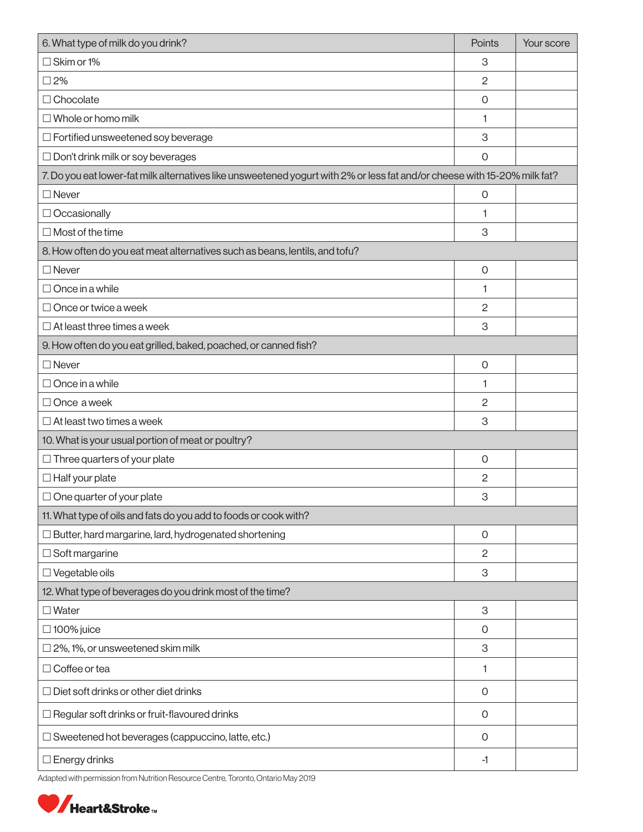| 6. What type of milk do you drink?                                                                                        | Points              | Your score |
|---------------------------------------------------------------------------------------------------------------------------|---------------------|------------|
| $\Box$ Skim or 1%                                                                                                         | 3                   |            |
| $\square$ 2%                                                                                                              | 2                   |            |
| □ Chocolate                                                                                                               | $\mathsf{O}\xspace$ |            |
| $\Box$ Whole or homo milk                                                                                                 | 1                   |            |
| $\Box$ Fortified unsweetened soy beverage                                                                                 | 3                   |            |
| $\Box$ Don't drink milk or soy beverages                                                                                  | $\mathsf{O}\xspace$ |            |
| 7. Do you eat lower-fat milk alternatives like unsweetened yogurt with 2% or less fat and/or cheese with 15-20% milk fat? |                     |            |
| $\Box$ Never                                                                                                              | $\mathbf 0$         |            |
| $\Box$ Occasionally                                                                                                       | 1                   |            |
| $\Box$ Most of the time                                                                                                   | 3                   |            |
| 8. How often do you eat meat alternatives such as beans, lentils, and tofu?                                               |                     |            |
| $\Box$ Never                                                                                                              | $\mathsf{O}\xspace$ |            |
| $\Box$ Once in a while                                                                                                    | 1                   |            |
| $\Box$ Once or twice a week                                                                                               | $\overline{c}$      |            |
| $\Box$ At least three times a week                                                                                        | 3                   |            |
| 9. How often do you eat grilled, baked, poached, or canned fish?                                                          |                     |            |
| $\Box$ Never                                                                                                              | $\mathsf{O}\xspace$ |            |
| $\Box$ Once in a while                                                                                                    | 1                   |            |
| □ Once a week                                                                                                             | $\overline{c}$      |            |
| $\Box$ At least two times a week                                                                                          | 3                   |            |
| 10. What is your usual portion of meat or poultry?                                                                        |                     |            |
| $\Box$ Three quarters of your plate                                                                                       | $\mathsf{O}\xspace$ |            |
| $\Box$ Half your plate                                                                                                    | 2                   |            |
| $\Box$ One quarter of your plate                                                                                          | 3                   |            |
| 11. What type of oils and fats do you add to foods or cook with?                                                          |                     |            |
| $\Box$ Butter, hard margarine, lard, hydrogenated shortening                                                              | $\mathbf 0$         |            |
| $\Box$ Soft margarine                                                                                                     | 2                   |            |
| $\square$ Vegetable oils                                                                                                  | 3                   |            |
| 12. What type of beverages do you drink most of the time?                                                                 |                     |            |
| $\Box$ Water                                                                                                              | $\,$ 3              |            |
| $\Box$ 100% juice                                                                                                         | 0                   |            |
| $\square$ 2%, 1%, or unsweetened skim milk                                                                                | 3                   |            |
| $\Box$ Coffee or tea                                                                                                      | 1                   |            |
| $\Box$ Diet soft drinks or other diet drinks                                                                              | $\mathbf 0$         |            |
| $\Box$ Regular soft drinks or fruit-flavoured drinks                                                                      | $\mathsf{O}$        |            |
| $\Box$ Sweetened hot beverages (cappuccino, latte, etc.)                                                                  | 0                   |            |
| $\square$ Energy drinks                                                                                                   | $-1$                |            |

Adapted with permission from Nutrition Resource Centre, Toronto, Ontario May 2019